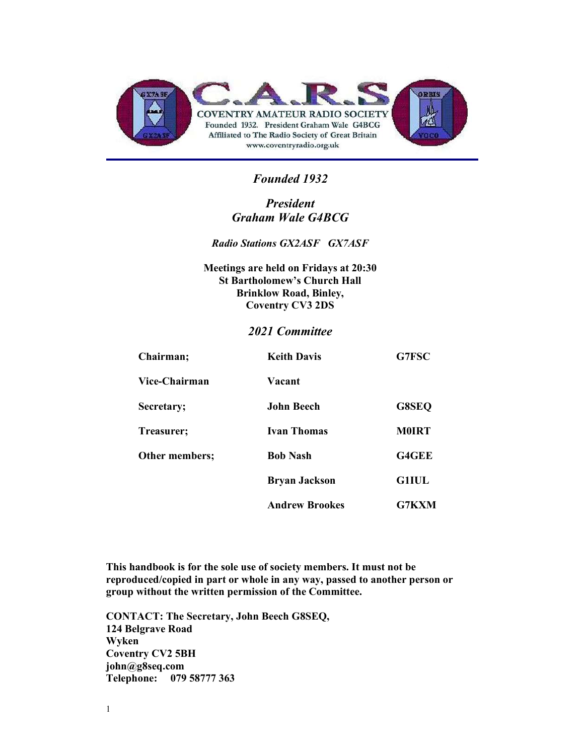

#### Founded 1932

#### President Graham Wale G4BCG

Radio Stations GX2ASF GX7ASF

Meetings are held on Fridays at 20:30 St Bartholomew's Church Hall Brinklow Road, Binley, Coventry CV3 2DS

#### 2021 Committee

| Chairman;      | <b>Keith Davis</b>    | G7FSC        |
|----------------|-----------------------|--------------|
| Vice-Chairman  | Vacant                |              |
| Secretary;     | John Beech            | G8SEQ        |
| Treasurer;     | <b>Ivan Thomas</b>    | <b>M0IRT</b> |
| Other members; | <b>Bob Nash</b>       | <b>G4GEE</b> |
|                | <b>Bryan Jackson</b>  | <b>G1IUL</b> |
|                | <b>Andrew Brookes</b> | G7KXM        |

This handbook is for the sole use of society members. It must not be reproduced/copied in part or whole in any way, passed to another person or group without the written permission of the Committee.

CONTACT: The Secretary, John Beech G8SEQ, 124 Belgrave Road Wyken Coventry CV2 5BH john@g8seq.com Telephone: 079 58777 363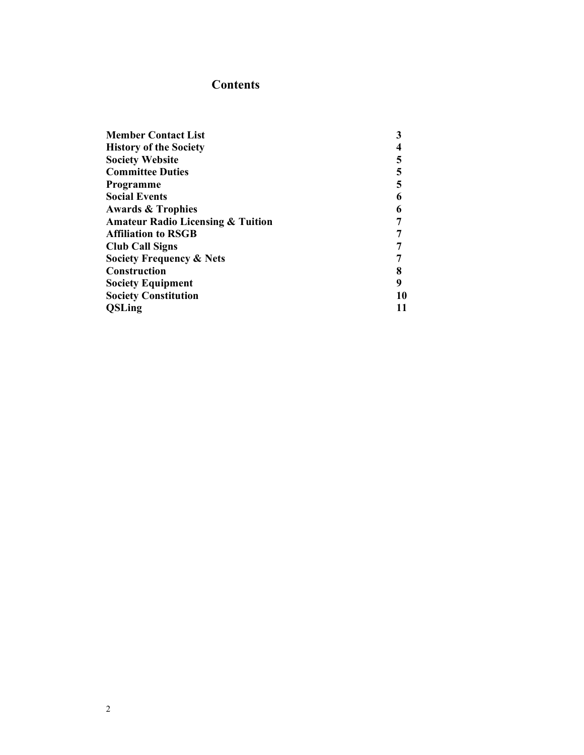### **Contents**

| <b>Member Contact List</b>                   | 3  |
|----------------------------------------------|----|
| <b>History of the Society</b>                |    |
| <b>Society Website</b>                       | 5  |
| <b>Committee Duties</b>                      | 5  |
| Programme                                    | 5  |
| <b>Social Events</b>                         |    |
| <b>Awards &amp; Trophies</b>                 |    |
| <b>Amateur Radio Licensing &amp; Tuition</b> |    |
| <b>Affiliation to RSGB</b>                   |    |
| <b>Club Call Signs</b>                       |    |
| <b>Society Frequency &amp; Nets</b>          |    |
| <b>Construction</b>                          |    |
| <b>Society Equipment</b>                     | 9  |
| <b>Society Constitution</b>                  | 10 |
| <b>QSLing</b>                                |    |
|                                              |    |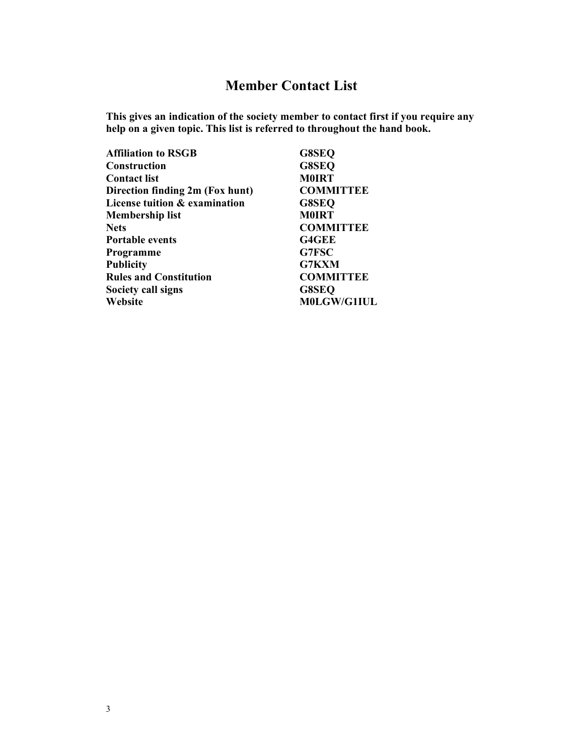# Member Contact List

This gives an indication of the society member to contact first if you require any help on a given topic. This list is referred to throughout the hand book.

| <b>Affiliation to RSGB</b>      | G8SEQ            |
|---------------------------------|------------------|
| <b>Construction</b>             | G8SEQ            |
| <b>Contact list</b>             | <b>M0IRT</b>     |
| Direction finding 2m (Fox hunt) | <b>COMMITTEE</b> |
| License tuition & examination   | G8SEQ            |
| <b>Membership list</b>          | <b>M0IRT</b>     |
| <b>Nets</b>                     | <b>COMMITTEE</b> |
| <b>Portable events</b>          | <b>G4GEE</b>     |
| Programme                       | G7FSC            |
| <b>Publicity</b>                | <b>G7KXM</b>     |
| <b>Rules and Constitution</b>   | <b>COMMITTEE</b> |
| Society call signs              | <b>G8SEQ</b>     |
| Website                         | M0LGW/G1IUL      |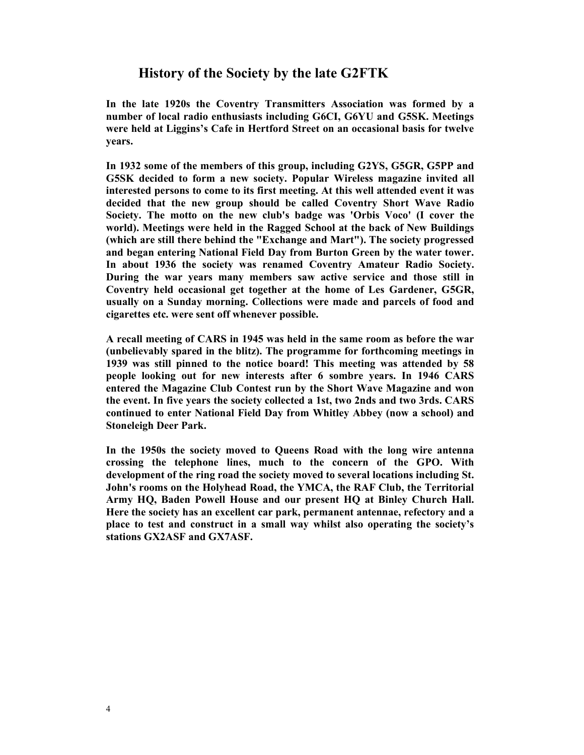#### History of the Society by the late G2FTK

In the late 1920s the Coventry Transmitters Association was formed by a number of local radio enthusiasts including G6CI, G6YU and G5SK. Meetings were held at Liggins's Cafe in Hertford Street on an occasional basis for twelve years.

In 1932 some of the members of this group, including G2YS, G5GR, G5PP and G5SK decided to form a new society. Popular Wireless magazine invited all interested persons to come to its first meeting. At this well attended event it was decided that the new group should be called Coventry Short Wave Radio Society. The motto on the new club's badge was 'Orbis Voco' (I cover the world). Meetings were held in the Ragged School at the back of New Buildings (which are still there behind the "Exchange and Mart"). The society progressed and began entering National Field Day from Burton Green by the water tower. In about 1936 the society was renamed Coventry Amateur Radio Society. During the war years many members saw active service and those still in Coventry held occasional get together at the home of Les Gardener, G5GR, usually on a Sunday morning. Collections were made and parcels of food and cigarettes etc. were sent off whenever possible.

A recall meeting of CARS in 1945 was held in the same room as before the war (unbelievably spared in the blitz). The programme for forthcoming meetings in 1939 was still pinned to the notice board! This meeting was attended by 58 people looking out for new interests after 6 sombre years. In 1946 CARS entered the Magazine Club Contest run by the Short Wave Magazine and won the event. In five years the society collected a 1st, two 2nds and two 3rds. CARS continued to enter National Field Day from Whitley Abbey (now a school) and Stoneleigh Deer Park.

In the 1950s the society moved to Queens Road with the long wire antenna crossing the telephone lines, much to the concern of the GPO. With development of the ring road the society moved to several locations including St. John's rooms on the Holyhead Road, the YMCA, the RAF Club, the Territorial Army HQ, Baden Powell House and our present HQ at Binley Church Hall. Here the society has an excellent car park, permanent antennae, refectory and a place to test and construct in a small way whilst also operating the society's stations GX2ASF and GX7ASF.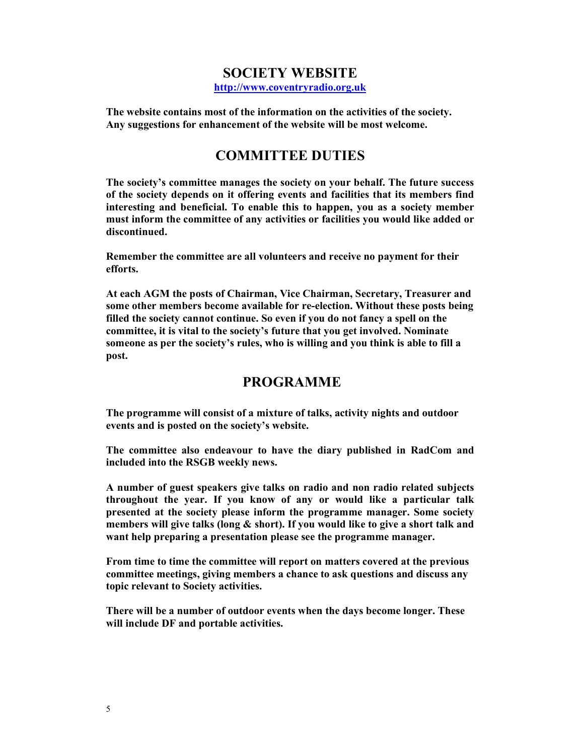## SOCIETY WEBSITE

http://www.coventryradio.org.uk

The website contains most of the information on the activities of the society. Any suggestions for enhancement of the website will be most welcome.

## COMMITTEE DUTIES

The society's committee manages the society on your behalf. The future success of the society depends on it offering events and facilities that its members find interesting and beneficial. To enable this to happen, you as a society member must inform the committee of any activities or facilities you would like added or discontinued.

Remember the committee are all volunteers and receive no payment for their efforts.

At each AGM the posts of Chairman, Vice Chairman, Secretary, Treasurer and some other members become available for re-election. Without these posts being filled the society cannot continue. So even if you do not fancy a spell on the committee, it is vital to the society's future that you get involved. Nominate someone as per the society's rules, who is willing and you think is able to fill a post.

## PROGRAMME

The programme will consist of a mixture of talks, activity nights and outdoor events and is posted on the society's website.

The committee also endeavour to have the diary published in RadCom and included into the RSGB weekly news.

A number of guest speakers give talks on radio and non radio related subjects throughout the year. If you know of any or would like a particular talk presented at the society please inform the programme manager. Some society members will give talks (long & short). If you would like to give a short talk and want help preparing a presentation please see the programme manager.

From time to time the committee will report on matters covered at the previous committee meetings, giving members a chance to ask questions and discuss any topic relevant to Society activities.

There will be a number of outdoor events when the days become longer. These will include DF and portable activities.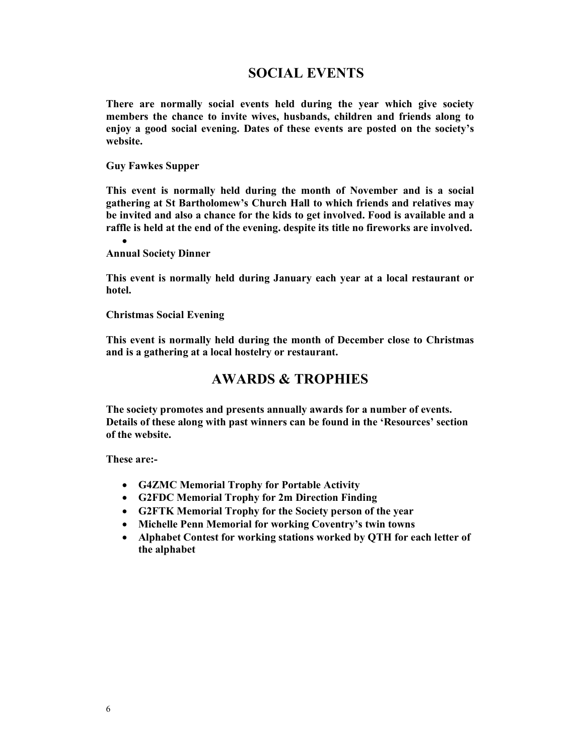## SOCIAL EVENTS

There are normally social events held during the year which give society members the chance to invite wives, husbands, children and friends along to enjoy a good social evening. Dates of these events are posted on the society's website.

Guy Fawkes Supper

This event is normally held during the month of November and is a social gathering at St Bartholomew's Church Hall to which friends and relatives may be invited and also a chance for the kids to get involved. Food is available and a raffle is held at the end of the evening. despite its title no fireworks are involved.

 $\bullet$ Annual Society Dinner

This event is normally held during January each year at a local restaurant or hotel.

Christmas Social Evening

This event is normally held during the month of December close to Christmas and is a gathering at a local hostelry or restaurant.

#### AWARDS & TROPHIES

The society promotes and presents annually awards for a number of events. Details of these along with past winners can be found in the 'Resources' section of the website.

These are:-

- G4ZMC Memorial Trophy for Portable Activity
- G2FDC Memorial Trophy for 2m Direction Finding
- G2FTK Memorial Trophy for the Society person of the year
- Michelle Penn Memorial for working Coventry's twin towns
- Alphabet Contest for working stations worked by QTH for each letter of the alphabet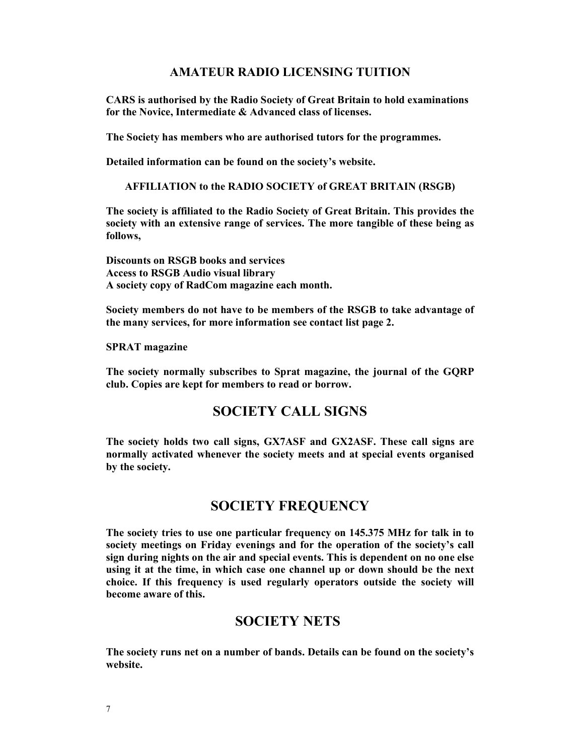#### AMATEUR RADIO LICENSING TUITION

CARS is authorised by the Radio Society of Great Britain to hold examinations for the Novice, Intermediate & Advanced class of licenses.

The Society has members who are authorised tutors for the programmes.

Detailed information can be found on the society's website.

AFFILIATION to the RADIO SOCIETY of GREAT BRITAIN (RSGB)

The society is affiliated to the Radio Society of Great Britain. This provides the society with an extensive range of services. The more tangible of these being as follows,

Discounts on RSGB books and services Access to RSGB Audio visual library A society copy of RadCom magazine each month.

Society members do not have to be members of the RSGB to take advantage of the many services, for more information see contact list page 2.

SPRAT magazine

The society normally subscribes to Sprat magazine, the journal of the GQRP club. Copies are kept for members to read or borrow.

## SOCIETY CALL SIGNS

The society holds two call signs, GX7ASF and GX2ASF. These call signs are normally activated whenever the society meets and at special events organised by the society.

#### SOCIETY FREQUENCY

The society tries to use one particular frequency on 145.375 MHz for talk in to society meetings on Friday evenings and for the operation of the society's call sign during nights on the air and special events. This is dependent on no one else using it at the time, in which case one channel up or down should be the next choice. If this frequency is used regularly operators outside the society will become aware of this.

#### SOCIETY NETS

The society runs net on a number of bands. Details can be found on the society's website.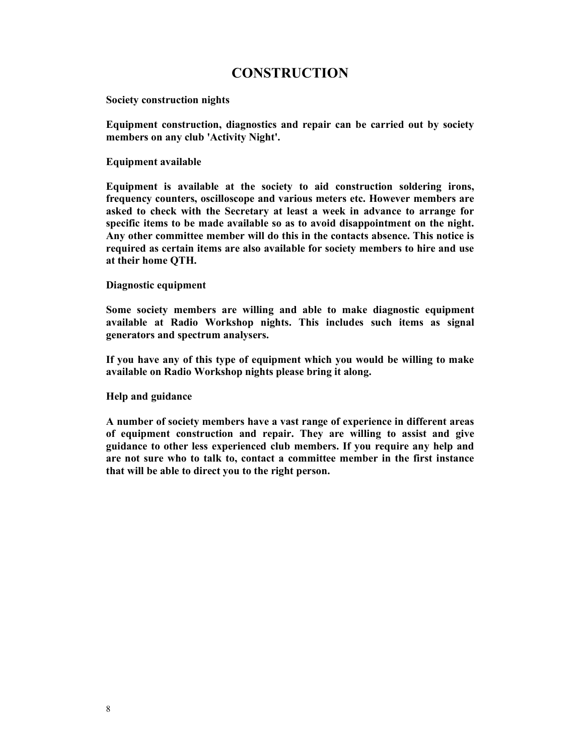## CONSTRUCTION

Society construction nights

Equipment construction, diagnostics and repair can be carried out by society members on any club 'Activity Night'.

Equipment available

Equipment is available at the society to aid construction soldering irons, frequency counters, oscilloscope and various meters etc. However members are asked to check with the Secretary at least a week in advance to arrange for specific items to be made available so as to avoid disappointment on the night. Any other committee member will do this in the contacts absence. This notice is required as certain items are also available for society members to hire and use at their home QTH.

Diagnostic equipment

Some society members are willing and able to make diagnostic equipment available at Radio Workshop nights. This includes such items as signal generators and spectrum analysers.

If you have any of this type of equipment which you would be willing to make available on Radio Workshop nights please bring it along.

Help and guidance

A number of society members have a vast range of experience in different areas of equipment construction and repair. They are willing to assist and give guidance to other less experienced club members. If you require any help and are not sure who to talk to, contact a committee member in the first instance that will be able to direct you to the right person.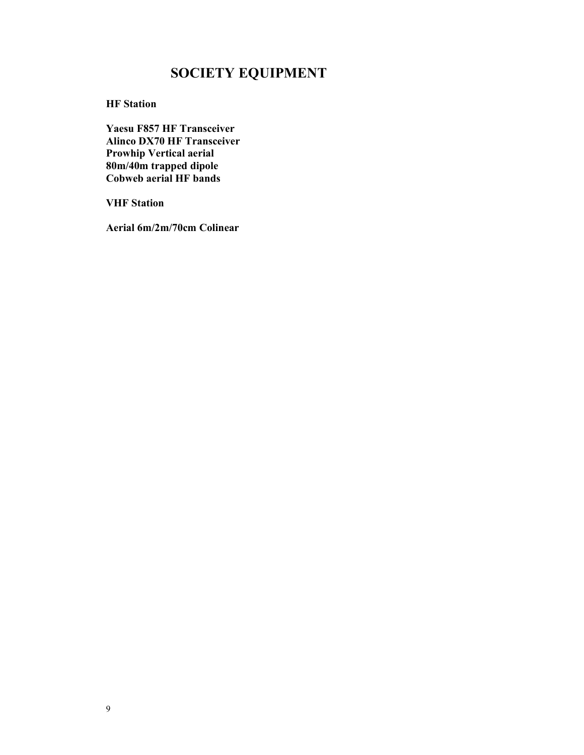# SOCIETY EQUIPMENT

HF Station

Yaesu F857 HF Transceiver Alinco DX70 HF Transceiver Prowhip Vertical aerial 80m/40m trapped dipole Cobweb aerial HF bands

VHF Station

Aerial 6m/2m/70cm Colinear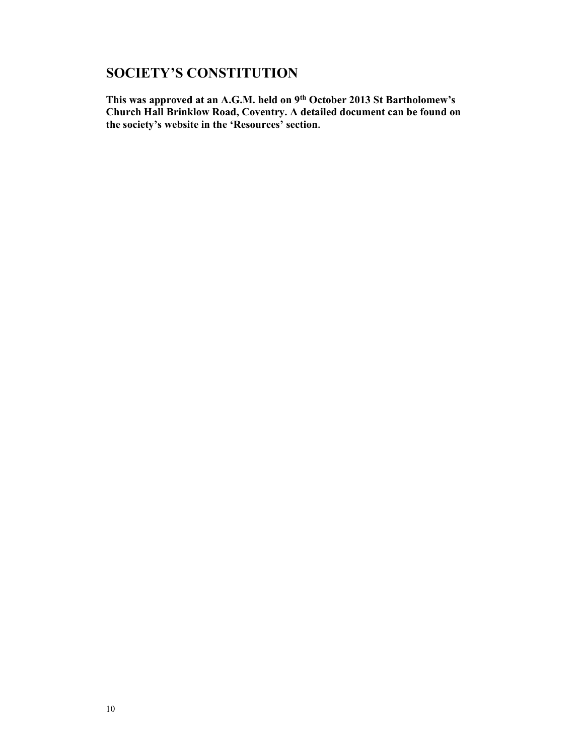## SOCIETY'S CONSTITUTION

This was approved at an A.G.M. held on 9<sup>th</sup> October 2013 St Bartholomew's Church Hall Brinklow Road, Coventry. A detailed document can be found on the society's website in the 'Resources' section.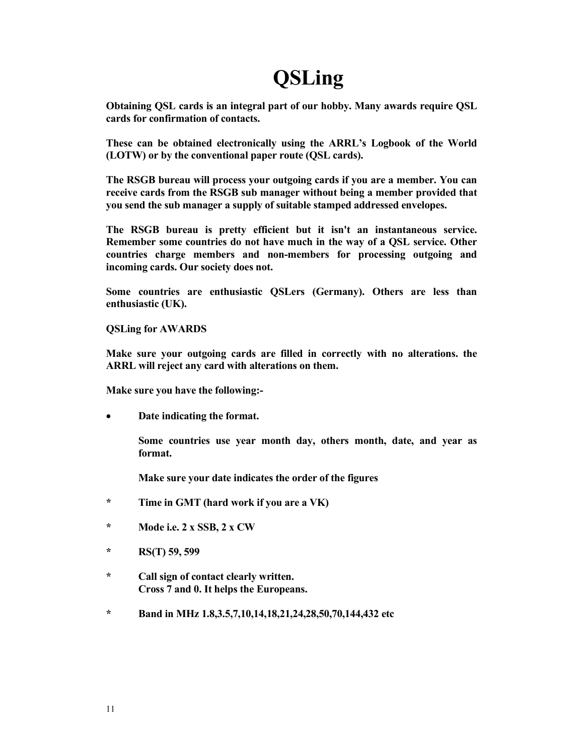# **QSLing**

Obtaining QSL cards is an integral part of our hobby. Many awards require QSL cards for confirmation of contacts.

These can be obtained electronically using the ARRL's Logbook of the World (LOTW) or by the conventional paper route (QSL cards).

The RSGB bureau will process your outgoing cards if you are a member. You can receive cards from the RSGB sub manager without being a member provided that you send the sub manager a supply of suitable stamped addressed envelopes.

The RSGB bureau is pretty efficient but it isn't an instantaneous service. Remember some countries do not have much in the way of a QSL service. Other countries charge members and non-members for processing outgoing and incoming cards. Our society does not.

Some countries are enthusiastic QSLers (Germany). Others are less than enthusiastic (UK).

QSLing for AWARDS

Make sure your outgoing cards are filled in correctly with no alterations. the ARRL will reject any card with alterations on them.

Make sure you have the following:-

Date indicating the format.

 Some countries use year month day, others month, date, and year as format.

Make sure your date indicates the order of the figures

- \* Time in GMT (hard work if you are a VK)
- \* Mode i.e. 2 x SSB, 2 x CW
- \* RS(T) 59, 599
- \* Call sign of contact clearly written. Cross 7 and 0. It helps the Europeans.
- \* Band in MHz 1.8,3.5,7,10,14,18,21,24,28,50,70,144,432 etc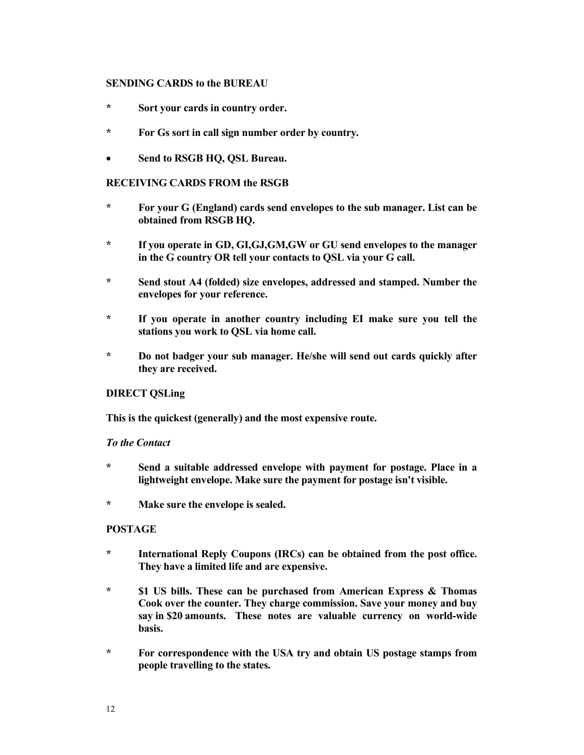#### SENDING CARDS to the BUREAU

- \* Sort your cards in country order.
- \* For Gs sort in call sign number order by country.
- Send to RSGB HQ, QSL Bureau.

#### RECEIVING CARDS FROM the RSGB

- \* For your G (England) cards send envelopes to the sub manager. List can be obtained from RSGB HQ.
- \* If you operate in GD, GI,GJ,GM,GW or GU send envelopes to the manager in the G country OR tell your contacts to QSL via your G call.
- \* Send stout A4 (folded) size envelopes, addressed and stamped. Number the envelopes for your reference.
- \* If you operate in another country including EI make sure you tell the stations you work to QSL via home call.
- \* Do not badger your sub manager. He/she will send out cards quickly after they are received.

#### DIRECT QSLing

This is the quickest (generally) and the most expensive route.

#### To the Contact

- \* Send a suitable addressed envelope with payment for postage. Place in a lightweight envelope. Make sure the payment for postage isn't visible.
- \* Make sure the envelope is sealed.

#### POSTAGE

- \* International Reply Coupons (IRCs) can be obtained from the post office. They have a limited life and are expensive.
- \* \$1 US bills. These can be purchased from American Express & Thomas Cook over the counter. They charge commission. Save your money and buy say in \$20 amounts. These notes are valuable currency on world-wide basis.
- \* For correspondence with the USA try and obtain US postage stamps from people travelling to the states.